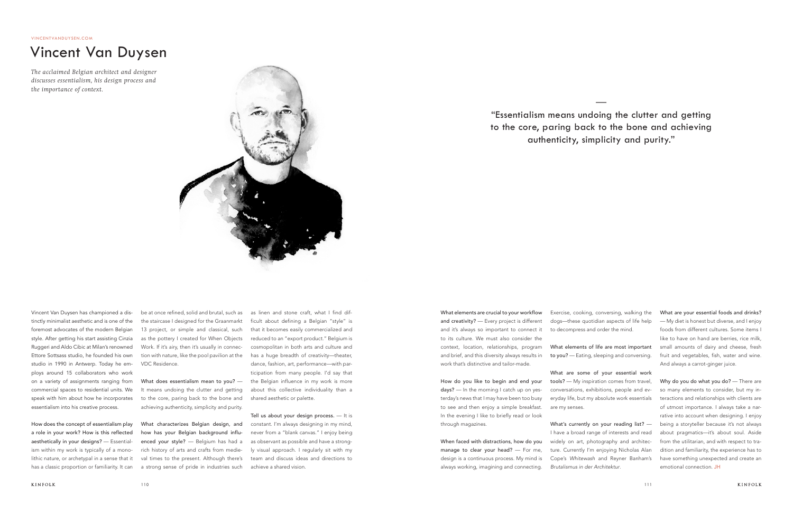Vincent Van Duysen has championed a distinctly minimalist aesthetic and is one of the foremost advocates of the modern Belgian style. After getting his start assisting Cinzia Ruggeri and Aldo Cibic at Milan's renowned Ettore Sottsass studio, he founded his own studio in 1990 in Antwerp. Today he employs around 15 collaborators who work on a variety of assignments ranging from commercial spaces to residential units. We essentialism into his creative process.

How does the concept of essentialism play a role in your work? How is this reflected aesthetically in your designs? — Essentialism within my work is typically of a monolithic nature, or archetypal in a sense that it has a classic proportion or familiarity. It can

speak with him about how he incorporates to the core, paring back to the bone and What does essentialism mean to you? — It means undoing the clutter and getting achieving authenticity, simplicity and purity.

be at once refined, solid and brutal, such as the staircase I designed for the Graanmarkt 13 project, or simple and classical, such as the pottery I created for When Objects Work. If it's airy, then it's usually in connection with nature, like the pool pavilion at the VDC Residence.

What characterizes Belgian design, and how has your Belgian background influenced your style? — Belgium has had a rich history of arts and crafts from medieval times to the present. Although there's a strong sense of pride in industries such

as linen and stone craft, what I find difficult about defining a Belgian "style" is that it becomes easily commercialized and reduced to an "export product." Belgium is cosmopolitan in both arts and culture and has a huge breadth of creativity—theater, dance, fashion, art, performance—with participation from many people. I'd say that the Belgian influence in my work is more about this collective individuality than a shared aesthetic or palette.

> What's currently on your reading list? -I have a broad range of interests and read widely on art, photography and architecture. Currently I'm enjoying Nicholas Alan Cope's *Whitewash* and Reyner Banham's *Brutalismus in der Architektur*.

Tell us about your design process. — It is constant. I'm always designing in my mind, never from a "blank canvas." I enjoy being as observant as possible and have a strongly visual approach. I regularly sit with my team and discuss ideas and directions to achieve a shared vision.

Why do you do what you do? - There are so many elements to consider, but my interactions and relationships with clients are of utmost importance. I always take a narrative into account when designing. I enjoy being a storyteller because it's not always about pragmatics—it's about soul. Aside from the utilitarian, and with respect to tradition and familiarity, the experience has to have something unexpected and create an emotional connection. JH

What elements are crucial to your workflow and creativity? — Every project is different and it's always so important to connect it to its culture. We must also consider the context, location, relationships, program and brief, and this diversity always results in work that's distinctive and tailor-made.

How do you like to begin and end your days? — In the morning I catch up on yesterday's news that I may have been too busy to see and then enjoy a simple breakfast. In the evening I like to briefly read or look through magazines.

When faced with distractions, how do you manage to clear your head? — For me, design is a continuous process. My mind is always working, imagining and connecting.

Exercise, cooking, conversing, walking the dogs—these quotidian aspects of life help to decompress and order the mind.

What elements of life are most important to you? — Eating, sleeping and conversing.

What are some of your essential work tools? — My inspiration comes from travel, conversations, exhibitions, people and everyday life, but my absolute work essentials are my senses.

What are your essential foods and drinks? — My diet is honest but diverse, and I enjoy foods from different cultures. Some items I like to have on hand are berries, rice milk, small amounts of dairy and cheese, fresh fruit and vegetables, fish, water and wine. And always a carrot-ginger juice.

## Vincent Van Duysen

*The acclaimed Belgian architect and designer discusses essentialism, his design process and the importance of context.* 



—

"Essentialism means undoing the clutter and getting to the core, paring back to the bone and achieving authenticity, simplicity and purity."